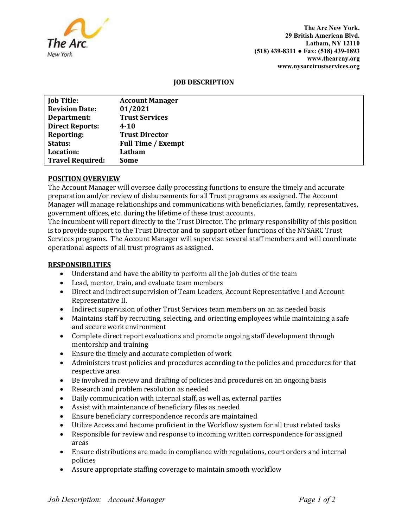

The Arc New York. 29 British American Blvd. Latham, NY 12110 (518) 439-8311 ● Fax: (518) 439-1893 www.thearcny.org www.nysarctrustservices.org

## JOB DESCRIPTION

| <b>Job Title:</b>       | <b>Account Manager</b>    |
|-------------------------|---------------------------|
| <b>Revision Date:</b>   | 01/2021                   |
| Department:             | <b>Trust Services</b>     |
| <b>Direct Reports:</b>  | 4-10                      |
| <b>Reporting:</b>       | <b>Trust Director</b>     |
| Status:                 | <b>Full Time / Exempt</b> |
| Location:               | Latham                    |
| <b>Travel Required:</b> | Some                      |

# POSITION OVERVIEW

The Account Manager will oversee daily processing functions to ensure the timely and accurate preparation and/or review of disbursements for all Trust programs as assigned. The Account Manager will manage relationships and communications with beneficiaries, family, representatives, government offices, etc. during the lifetime of these trust accounts.

The incumbent will report directly to the Trust Director. The primary responsibility of this position is to provide support to the Trust Director and to support other functions of the NYSARC Trust Services programs. The Account Manager will supervise several staff members and will coordinate operational aspects of all trust programs as assigned.

## RESPONSIBILITIES

- Understand and have the ability to perform all the job duties of the team
- Lead, mentor, train, and evaluate team members
- Direct and indirect supervision of Team Leaders, Account Representative I and Account Representative II.
- Indirect supervision of other Trust Services team members on an as needed basis
- Maintains staff by recruiting, selecting, and orienting employees while maintaining a safe and secure work environment
- Complete direct report evaluations and promote ongoing staff development through mentorship and training
- Ensure the timely and accurate completion of work
- Administers trust policies and procedures according to the policies and procedures for that respective area
- Be involved in review and drafting of policies and procedures on an ongoing basis
- Research and problem resolution as needed
- Daily communication with internal staff, as well as, external parties
- Assist with maintenance of beneficiary files as needed
- Ensure beneficiary correspondence records are maintained
- Utilize Access and become proficient in the Workflow system for all trust related tasks
- Responsible for review and response to incoming written correspondence for assigned areas
- Ensure distributions are made in compliance with regulations, court orders and internal policies
- Assure appropriate staffing coverage to maintain smooth workflow